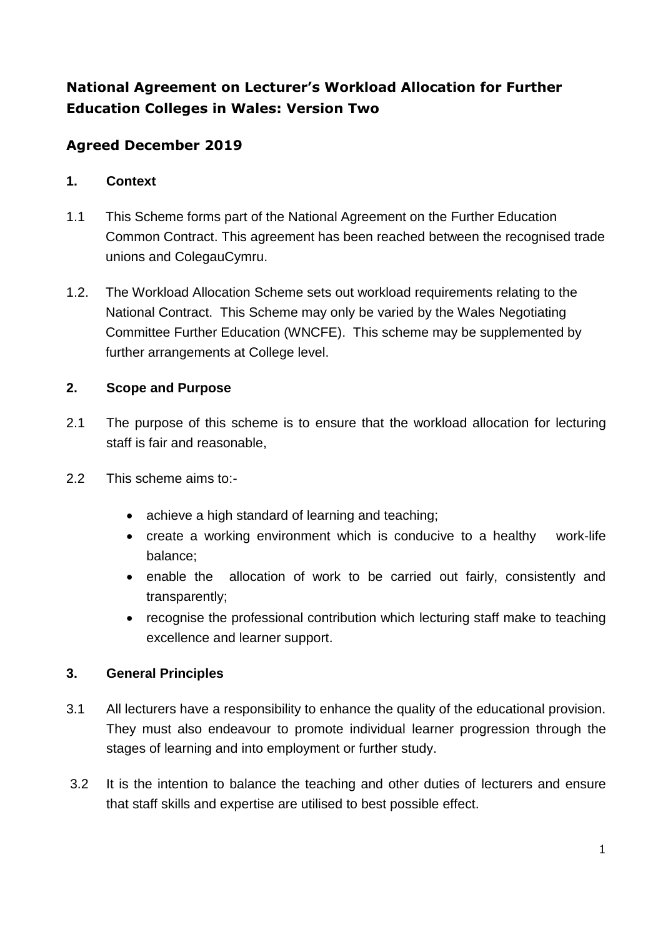# **National Agreement on Lecturer's Workload Allocation for Further Education Colleges in Wales: Version Two**

# **Agreed December 2019**

#### **1. Context**

- 1.1 This Scheme forms part of the National Agreement on the Further Education Common Contract. This agreement has been reached between the recognised trade unions and ColegauCymru.
- 1.2. The Workload Allocation Scheme sets out workload requirements relating to the National Contract. This Scheme may only be varied by the Wales Negotiating Committee Further Education (WNCFE). This scheme may be supplemented by further arrangements at College level.

# **2. Scope and Purpose**

- 2.1 The purpose of this scheme is to ensure that the workload allocation for lecturing staff is fair and reasonable,
- 2.2 This scheme aims to:-
	- achieve a high standard of learning and teaching;
	- create a working environment which is conducive to a healthy work-life balance;
	- enable the allocation of work to be carried out fairly, consistently and transparently;
	- recognise the professional contribution which lecturing staff make to teaching excellence and learner support.

## **3. General Principles**

- 3.1 All lecturers have a responsibility to enhance the quality of the educational provision. They must also endeavour to promote individual learner progression through the stages of learning and into employment or further study.
- 3.2 It is the intention to balance the teaching and other duties of lecturers and ensure that staff skills and expertise are utilised to best possible effect.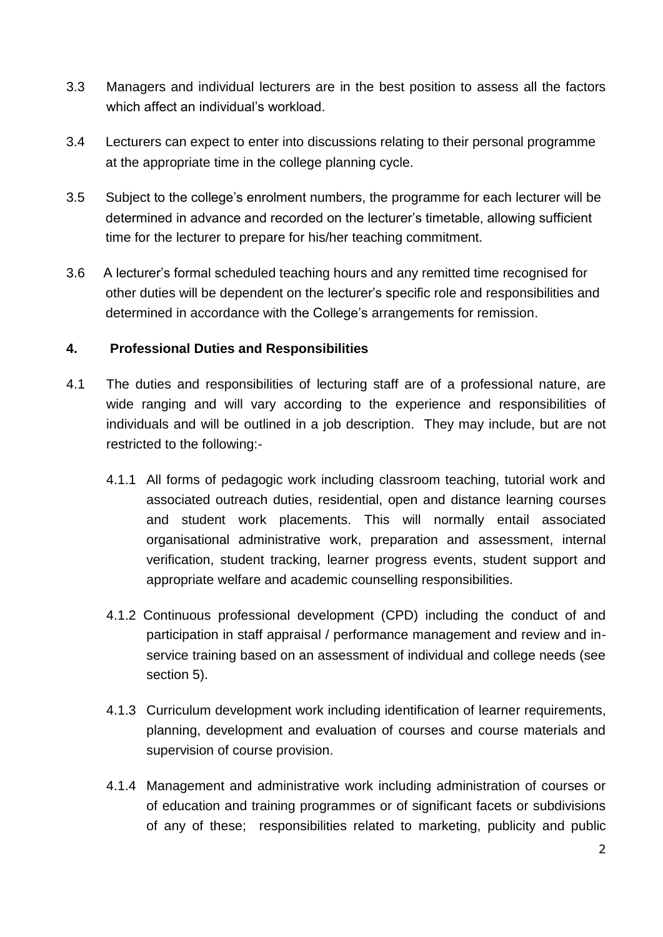- 3.3 Managers and individual lecturers are in the best position to assess all the factors which affect an individual's workload
- 3.4 Lecturers can expect to enter into discussions relating to their personal programme at the appropriate time in the college planning cycle.
- 3.5 Subject to the college's enrolment numbers, the programme for each lecturer will be determined in advance and recorded on the lecturer's timetable, allowing sufficient time for the lecturer to prepare for his/her teaching commitment.
- 3.6 A lecturer's formal scheduled teaching hours and any remitted time recognised for other duties will be dependent on the lecturer's specific role and responsibilities and determined in accordance with the College's arrangements for remission.

### **4. Professional Duties and Responsibilities**

- 4.1 The duties and responsibilities of lecturing staff are of a professional nature, are wide ranging and will vary according to the experience and responsibilities of individuals and will be outlined in a job description. They may include, but are not restricted to the following:-
	- 4.1.1 All forms of pedagogic work including classroom teaching, tutorial work and associated outreach duties, residential, open and distance learning courses and student work placements. This will normally entail associated organisational administrative work, preparation and assessment, internal verification, student tracking, learner progress events, student support and appropriate welfare and academic counselling responsibilities.
	- 4.1.2 Continuous professional development (CPD) including the conduct of and participation in staff appraisal / performance management and review and inservice training based on an assessment of individual and college needs (see section 5).
	- 4.1.3 Curriculum development work including identification of learner requirements, planning, development and evaluation of courses and course materials and supervision of course provision.
	- 4.1.4 Management and administrative work including administration of courses or of education and training programmes or of significant facets or subdivisions of any of these; responsibilities related to marketing, publicity and public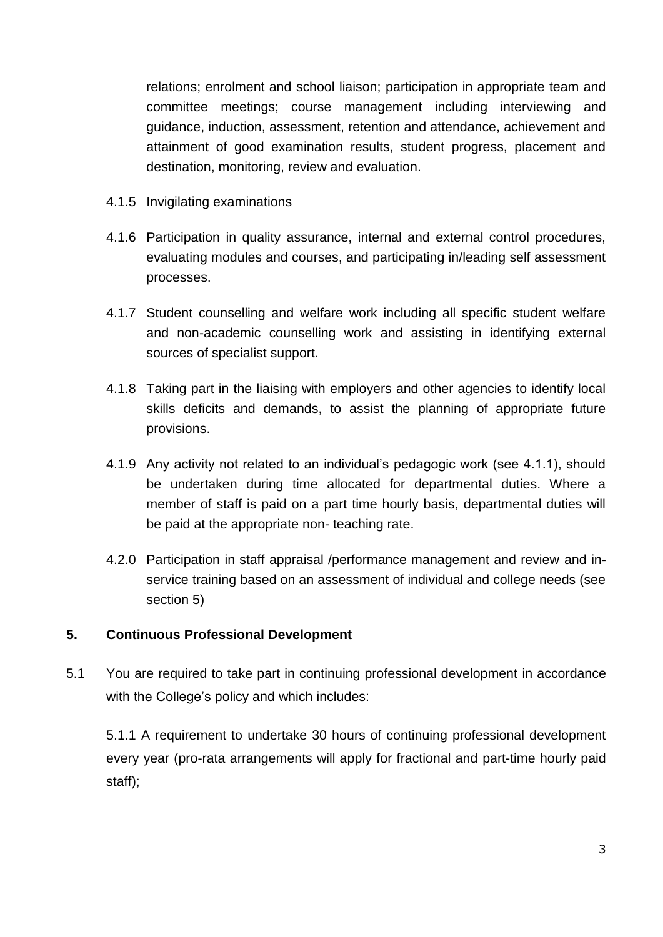relations; enrolment and school liaison; participation in appropriate team and committee meetings; course management including interviewing and guidance, induction, assessment, retention and attendance, achievement and attainment of good examination results, student progress, placement and destination, monitoring, review and evaluation.

- 4.1.5 Invigilating examinations
- 4.1.6 Participation in quality assurance, internal and external control procedures, evaluating modules and courses, and participating in/leading self assessment processes.
- 4.1.7 Student counselling and welfare work including all specific student welfare and non-academic counselling work and assisting in identifying external sources of specialist support.
- 4.1.8 Taking part in the liaising with employers and other agencies to identify local skills deficits and demands, to assist the planning of appropriate future provisions.
- 4.1.9 Any activity not related to an individual's pedagogic work (see 4.1.1), should be undertaken during time allocated for departmental duties. Where a member of staff is paid on a part time hourly basis, departmental duties will be paid at the appropriate non- teaching rate.
- 4.2.0 Participation in staff appraisal /performance management and review and inservice training based on an assessment of individual and college needs (see section 5)

#### **5. Continuous Professional Development**

5.1 You are required to take part in continuing professional development in accordance with the College's policy and which includes:

5.1.1 A requirement to undertake 30 hours of continuing professional development every year (pro-rata arrangements will apply for fractional and part-time hourly paid staff);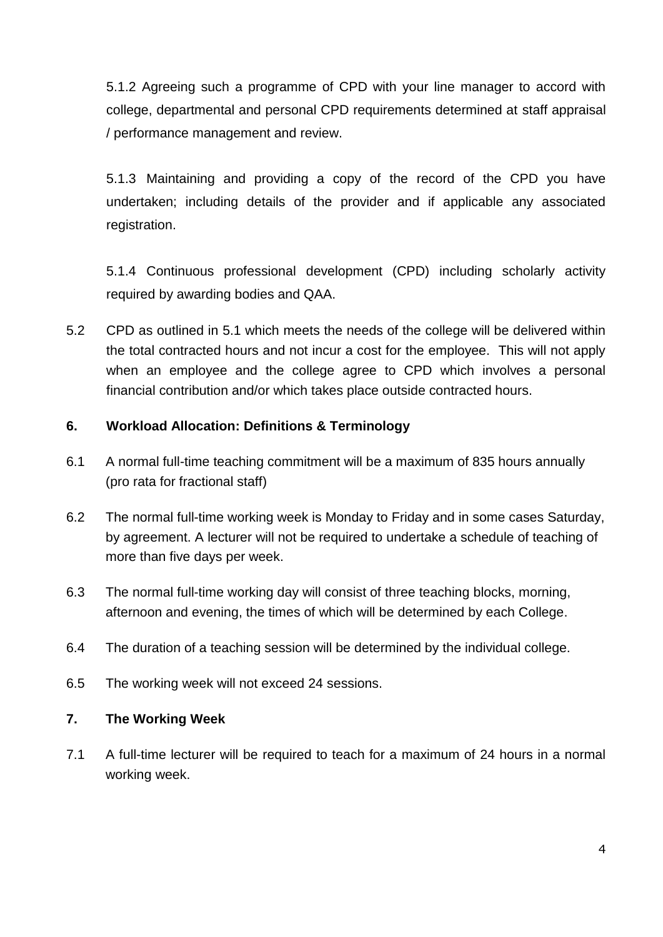5.1.2 Agreeing such a programme of CPD with your line manager to accord with college, departmental and personal CPD requirements determined at staff appraisal / performance management and review.

5.1.3 Maintaining and providing a copy of the record of the CPD you have undertaken; including details of the provider and if applicable any associated registration.

5.1.4 Continuous professional development (CPD) including scholarly activity required by awarding bodies and QAA.

5.2 CPD as outlined in 5.1 which meets the needs of the college will be delivered within the total contracted hours and not incur a cost for the employee. This will not apply when an employee and the college agree to CPD which involves a personal financial contribution and/or which takes place outside contracted hours.

### **6. Workload Allocation: Definitions & Terminology**

- 6.1 A normal full-time teaching commitment will be a maximum of 835 hours annually (pro rata for fractional staff)
- 6.2 The normal full-time working week is Monday to Friday and in some cases Saturday, by agreement. A lecturer will not be required to undertake a schedule of teaching of more than five days per week.
- 6.3 The normal full-time working day will consist of three teaching blocks, morning, afternoon and evening, the times of which will be determined by each College.
- 6.4 The duration of a teaching session will be determined by the individual college.
- 6.5 The working week will not exceed 24 sessions.

#### **7. The Working Week**

7.1 A full-time lecturer will be required to teach for a maximum of 24 hours in a normal working week.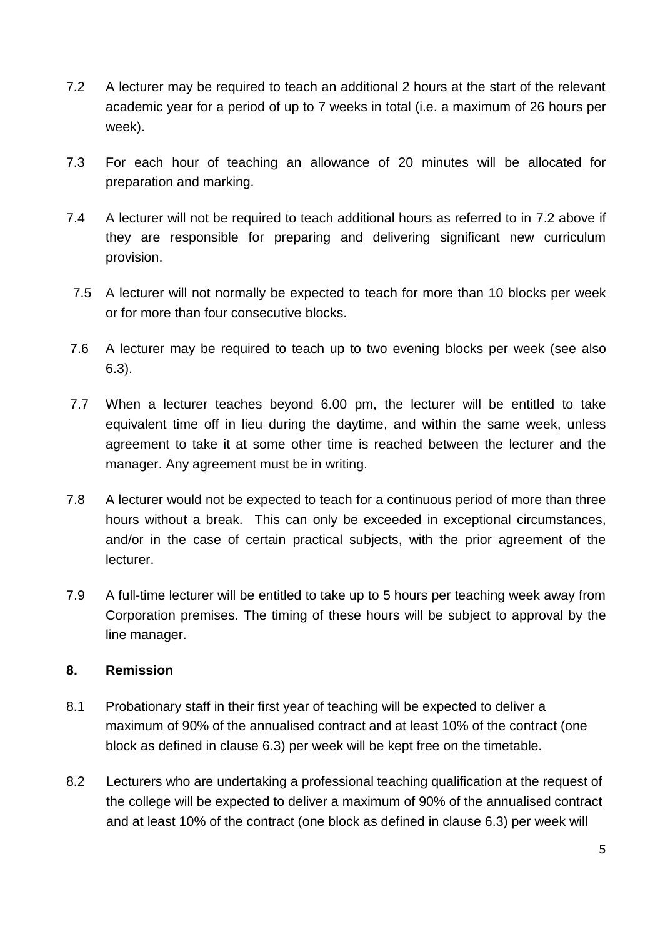- 7.2 A lecturer may be required to teach an additional 2 hours at the start of the relevant academic year for a period of up to 7 weeks in total (i.e. a maximum of 26 hours per week).
- 7.3 For each hour of teaching an allowance of 20 minutes will be allocated for preparation and marking.
- 7.4 A lecturer will not be required to teach additional hours as referred to in 7.2 above if they are responsible for preparing and delivering significant new curriculum provision.
- 7.5 A lecturer will not normally be expected to teach for more than 10 blocks per week or for more than four consecutive blocks.
- 7.6 A lecturer may be required to teach up to two evening blocks per week (see also 6.3).
- 7.7 When a lecturer teaches beyond 6.00 pm, the lecturer will be entitled to take equivalent time off in lieu during the daytime, and within the same week, unless agreement to take it at some other time is reached between the lecturer and the manager. Any agreement must be in writing.
- 7.8 A lecturer would not be expected to teach for a continuous period of more than three hours without a break. This can only be exceeded in exceptional circumstances, and/or in the case of certain practical subjects, with the prior agreement of the lecturer.
- 7.9 A full-time lecturer will be entitled to take up to 5 hours per teaching week away from Corporation premises. The timing of these hours will be subject to approval by the line manager.

#### **8. Remission**

- 8.1 Probationary staff in their first year of teaching will be expected to deliver a maximum of 90% of the annualised contract and at least 10% of the contract (one block as defined in clause 6.3) per week will be kept free on the timetable.
- 8.2 Lecturers who are undertaking a professional teaching qualification at the request of the college will be expected to deliver a maximum of 90% of the annualised contract and at least 10% of the contract (one block as defined in clause 6.3) per week will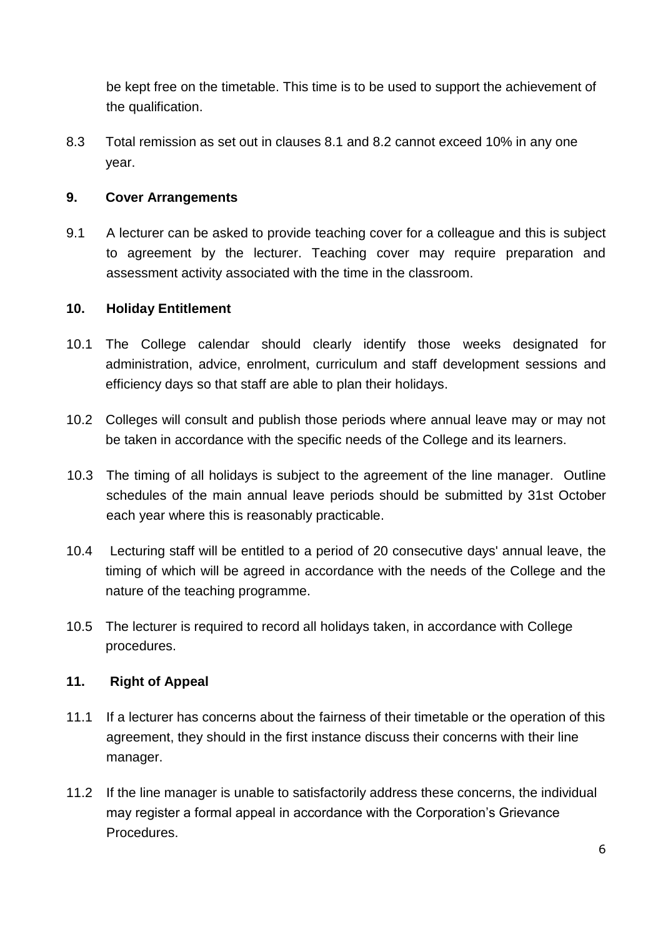be kept free on the timetable. This time is to be used to support the achievement of the qualification.

8.3 Total remission as set out in clauses 8.1 and 8.2 cannot exceed 10% in any one year.

#### **9. Cover Arrangements**

9.1 A lecturer can be asked to provide teaching cover for a colleague and this is subject to agreement by the lecturer. Teaching cover may require preparation and assessment activity associated with the time in the classroom.

#### **10. Holiday Entitlement**

- 10.1 The College calendar should clearly identify those weeks designated for administration, advice, enrolment, curriculum and staff development sessions and efficiency days so that staff are able to plan their holidays.
- 10.2 Colleges will consult and publish those periods where annual leave may or may not be taken in accordance with the specific needs of the College and its learners.
- 10.3 The timing of all holidays is subject to the agreement of the line manager. Outline schedules of the main annual leave periods should be submitted by 31st October each year where this is reasonably practicable.
- 10.4 Lecturing staff will be entitled to a period of 20 consecutive days' annual leave, the timing of which will be agreed in accordance with the needs of the College and the nature of the teaching programme.
- 10.5 The lecturer is required to record all holidays taken, in accordance with College procedures.

#### **11. Right of Appeal**

- 11.1 If a lecturer has concerns about the fairness of their timetable or the operation of this agreement, they should in the first instance discuss their concerns with their line manager.
- 11.2 If the line manager is unable to satisfactorily address these concerns, the individual may register a formal appeal in accordance with the Corporation's Grievance Procedures.